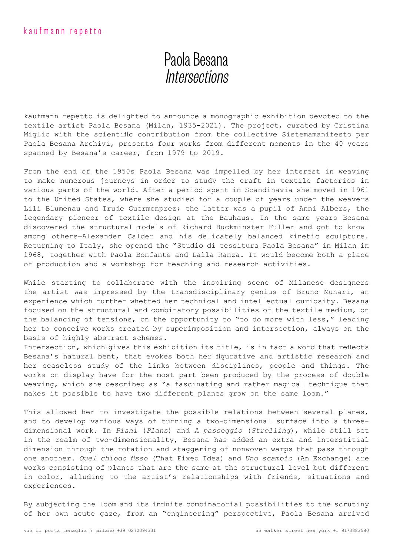## Paola Besana **Intersections**

kaufmann repetto is delighted to announce a monographic exhibition devoted to the textile artist Paola Besana (Milan, 1935-2021). The project, curated by Cristina Miglio with the scientific contribution from the collective Sistemamanifesto per Paola Besana Archivi, presents four works from different moments in the 40 years spanned by Besana's career, from 1979 to 2019.

From the end of the 1950s Paola Besana was impelled by her interest in weaving to make numerous journeys in order to study the craft in textile factories in various parts of the world. After a period spent in Scandinavia she moved in 1961 to the United States, where she studied for a couple of years under the weavers Lili Blumenau and Trude Guermonprez; the latter was a pupil of Anni Albers, the legendary pioneer of textile design at the Bauhaus. In the same years Besana discovered the structural models of Richard Buckminster Fuller and got to know among others—Alexander Calder and his delicately balanced kinetic sculpture. Returning to Italy, she opened the "Studio di tessitura Paola Besana" in Milan in 1968, together with Paola Bonfante and Lalla Ranza. It would become both a place of production and a workshop for teaching and research activities.

While starting to collaborate with the inspiring scene of Milanese designers the artist was impressed by the transdisciplinary genius of Bruno Munari, an experience which further whetted her technical and intellectual curiosity. Besana focused on the structural and combinatory possibilities of the textile medium, on the balancing of tensions, on the opportunity to "to do more with less," leading her to conceive works created by superimposition and intersection, always on the basis of highly abstract schemes.

Intersection, which gives this exhibition its title, is in fact a word that reflects Besana's natural bent, that evokes both her figurative and artistic research and her ceaseless study of the links between disciplines, people and things. The works on display have for the most part been produced by the process of double weaving, which she described as "a fascinating and rather magical technique that makes it possible to have two different planes grow on the same loom."

This allowed her to investigate the possible relations between several planes, and to develop various ways of turning a two-dimensional surface into a threedimensional work. In *Piani* (*Plans*) and *A passeggio* (*Strolling*), while still set in the realm of two-dimensionality, Besana has added an extra and interstitial dimension through the rotation and staggering of nonwoven warps that pass through one another. *Quel chiodo fisso* (That Fixed Idea) and *Uno scambio* (An Exchange) are works consisting of planes that are the same at the structural level but different in color, alluding to the artist's relationships with friends, situations and experiences.

By subjecting the loom and its infinite combinatorial possibilities to the scrutiny of her own acute gaze, from an "engineering" perspective, Paola Besana arrived